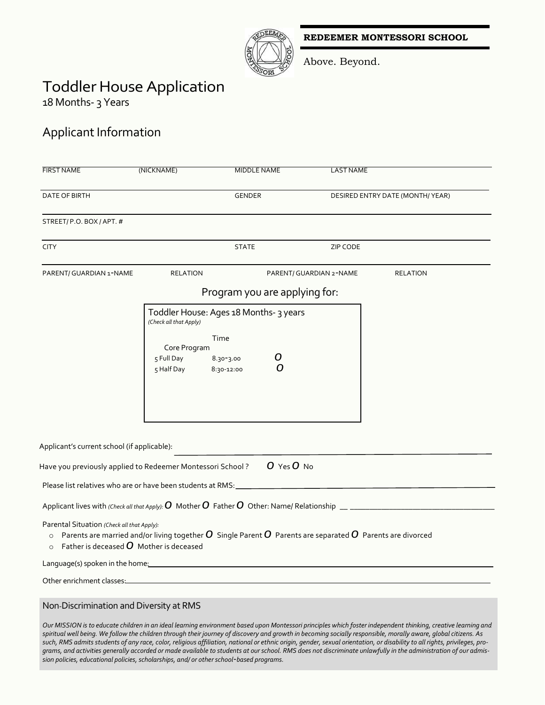**REDEEMER MONTESSORI SCHOOL**



Above. Beyond.

# Toddler House Application

18 Months- 3 Years

## Applicant Information

| <b>FIRST NAME</b>                                                                                             | (NICKNAME)                                                                                                      | <b>MIDDLE NAME</b>                            | <b>LAST NAME</b>                         |                                                                                                                                                               |
|---------------------------------------------------------------------------------------------------------------|-----------------------------------------------------------------------------------------------------------------|-----------------------------------------------|------------------------------------------|---------------------------------------------------------------------------------------------------------------------------------------------------------------|
| DATE OF BIRTH                                                                                                 |                                                                                                                 | <b>GENDER</b>                                 | DESIRED ENTRY DATE (MONTH/YEAR)          |                                                                                                                                                               |
| STREET/P.O. BOX/APT. #                                                                                        |                                                                                                                 |                                               |                                          |                                                                                                                                                               |
| <b>CITY</b>                                                                                                   |                                                                                                                 | <b>STATE</b>                                  | <b>ZIP CODE</b>                          |                                                                                                                                                               |
| PARENT/ GUARDIAN 1-NAME                                                                                       | <b>RELATION</b>                                                                                                 |                                               | PARENT/ GUARDIAN 2-NAME                  | <b>RELATION</b>                                                                                                                                               |
|                                                                                                               |                                                                                                                 | Program you are applying for:                 |                                          |                                                                                                                                                               |
|                                                                                                               | (Check all that Apply)                                                                                          | Toddler House: Ages 18 Months- 3 years        |                                          |                                                                                                                                                               |
|                                                                                                               | Core Program<br>5 Full Day<br>5 Half Day                                                                        | Time<br>O<br>$8.30 - 3.00$<br>Ω<br>8:30-12:00 |                                          |                                                                                                                                                               |
| Applicant's current school (if applicable):                                                                   |                                                                                                                 |                                               |                                          |                                                                                                                                                               |
| Have you previously applied to Redeemer Montessori School?                                                    |                                                                                                                 | O Yes O No                                    |                                          |                                                                                                                                                               |
| Please list relatives who are or have been students at RMS:                                                   |                                                                                                                 |                                               | <u> 1989 - Johann Barbara, martxa al</u> |                                                                                                                                                               |
|                                                                                                               |                                                                                                                 |                                               |                                          |                                                                                                                                                               |
| Parental Situation (Check all that Apply):<br>$\circ$<br>Father is deceased $O$ Mother is deceased<br>$\circ$ | Parents are married and/or living together $O$ Single Parent $O$ Parents are separated $O$ Parents are divorced |                                               |                                          |                                                                                                                                                               |
| Language(s) spoken in the home: example and the spoken in the home:                                           |                                                                                                                 |                                               |                                          |                                                                                                                                                               |
| Other enrichment classes:                                                                                     |                                                                                                                 |                                               |                                          |                                                                                                                                                               |
| Non-Discrimination and Diversity at RMS                                                                       |                                                                                                                 |                                               |                                          |                                                                                                                                                               |
|                                                                                                               |                                                                                                                 |                                               |                                          | Our MISSION is to educate children in an ideal learning environment based upon Montessori principles which foster independent thinking, creative learning and |

*Our MISSION is to educate children in an ideal learning environment based upon Montessori principles which foster independent thinking, creative learning and spiritual well being. We follow the children through their journey of discovery and growth in becoming socially responsible, morally aware, global citizens. As such, RMS admits students of any race, color, religious affiliation, national or ethnic origin, gender, sexual orientation, or disability to all rights, privileges, programs, and activities generally accorded or made available to students at our school. RMS does not discriminate unlawfully in the administration of our admission policies, educational policies, scholarships, and/ or other school-based programs.*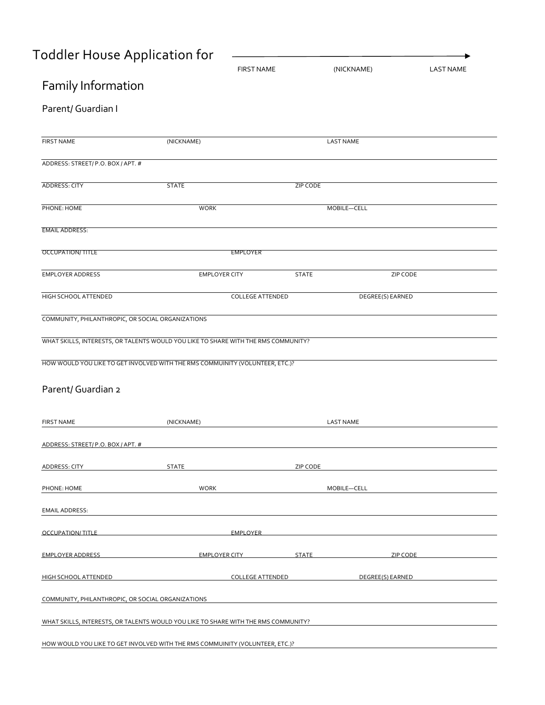# Toddler House Application for

|                                                     | <b>FIRST NAME</b>                                                                  |              | (NICKNAME)       | <b>LAST NAME</b> |
|-----------------------------------------------------|------------------------------------------------------------------------------------|--------------|------------------|------------------|
| Family Information                                  |                                                                                    |              |                  |                  |
| Parent/ Guardian I                                  |                                                                                    |              |                  |                  |
| <b>FIRST NAME</b>                                   | (NICKNAME)                                                                         |              | <b>LAST NAME</b> |                  |
| ADDRESS: STREET/P.O. BOX/APT. #                     |                                                                                    |              |                  |                  |
| ADDRESS: CITY                                       | <b>STATE</b>                                                                       | ZIP CODE     |                  |                  |
| PHONE: HOME                                         | <b>WORK</b>                                                                        |              | MOBILE-CELL      |                  |
| <b>EMAIL ADDRESS:</b>                               |                                                                                    |              |                  |                  |
| <b>OCCUPATION/TITLE</b>                             | <b>EMPLOYER</b>                                                                    |              |                  |                  |
| <b>EMPLOYER ADDRESS</b>                             | <b>EMPLOYER CITY</b>                                                               | <b>STATE</b> | ZIP CODE         |                  |
| HIGH SCHOOL ATTENDED                                | <b>COLLEGE ATTENDED</b>                                                            |              | DEGREE(S) EARNED |                  |
| COMMUNITY, PHILANTHROPIC, OR SOCIAL ORGANIZATIONS   |                                                                                    |              |                  |                  |
|                                                     | WHAT SKILLS, INTERESTS, OR TALENTS WOULD YOU LIKE TO SHARE WITH THE RMS COMMUNITY? |              |                  |                  |
|                                                     | HOW WOULD YOU LIKE TO GET INVOLVED WITH THE RMS COMMUINITY (VOLUNTEER, ETC.)?      |              |                  |                  |
| Parent/ Guardian 2                                  |                                                                                    |              |                  |                  |
| <b>FIRST NAME</b>                                   | (NICKNAME)                                                                         |              | <b>LAST NAME</b> |                  |
| <u>ADDRESS: STREET/ P.O. BOX / APT. #</u>           |                                                                                    |              |                  |                  |
| ADDRESS: CITY                                       | <b>STATE</b>                                                                       | ZIP CODE     |                  |                  |
| PHONE: HOME                                         | <b>WORK</b>                                                                        |              | MOBILE-CELL      |                  |
| <b>EMAIL ADDRESS:</b>                               |                                                                                    |              |                  |                  |
| OCCUPATION/TITLE AND ANNOUNCED AND ACCUPATION TITLE | EMPLOYER                                                                           |              |                  |                  |
| <b>EMPLOYER ADDRESS</b>                             | EMPLOYER CITY                                                                      | <b>STATE</b> | <b>ZIP CODE</b>  |                  |
| <b>HIGH SCHOOL ATTENDED</b>                         | <b>COLLEGE ATTENDED</b>                                                            |              | DEGREE(S) EARNED |                  |
| COMMUNITY, PHILANTHROPIC, OR SOCIAL ORGANIZATIONS   |                                                                                    |              |                  |                  |
|                                                     | WHAT SKILLS, INTERESTS, OR TALENTS WOULD YOU LIKE TO SHARE WITH THE RMS COMMUNITY? |              |                  |                  |
|                                                     | HOW WOULD YOU LIKE TO GET INVOLVED WITH THE RMS COMMUINITY (VOLUNTEER, ETC.)?      |              |                  |                  |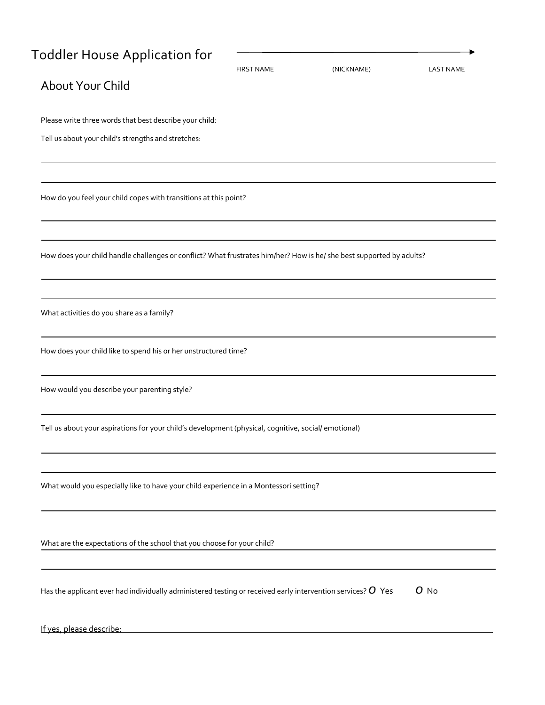## Toddler House Application for

|                                                                                                                      | <b>FIRST NAME</b> | (NICKNAME) | <b>LAST NAME</b> |
|----------------------------------------------------------------------------------------------------------------------|-------------------|------------|------------------|
| About Your Child                                                                                                     |                   |            |                  |
| Please write three words that best describe your child:                                                              |                   |            |                  |
| Tell us about your child's strengths and stretches:                                                                  |                   |            |                  |
| How do you feel your child copes with transitions at this point?                                                     |                   |            |                  |
|                                                                                                                      |                   |            |                  |
| How does your child handle challenges or conflict? What frustrates him/her? How is he/ she best supported by adults? |                   |            |                  |
|                                                                                                                      |                   |            |                  |
| What activities do you share as a family?                                                                            |                   |            |                  |
| How does your child like to spend his or her unstructured time?                                                      |                   |            |                  |
| How would you describe your parenting style?                                                                         |                   |            |                  |
| Tell us about your aspirations for your child's development (physical, cognitive, social/ emotional)                 |                   |            |                  |
| What would you especially like to have your child experience in a Montessori setting?                                |                   |            |                  |
| What are the expectations of the school that you choose for your child?                                              |                   |            |                  |
| Has the applicant ever had individually administered testing or received early intervention services? $\bm{O}$ Yes   |                   |            | $O$ No           |
| If yes, please describe:                                                                                             |                   |            |                  |

×